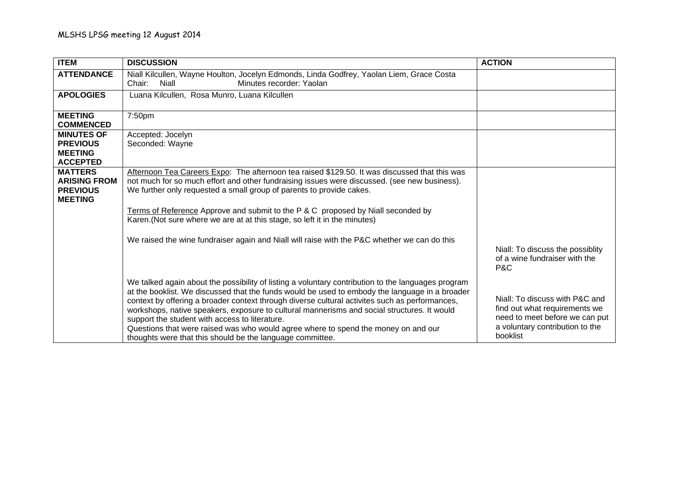| <b>ITEM</b>                                                                | <b>DISCUSSION</b>                                                                                                                                                                                                                                                                                                                                                                                                                                                                                                                                                                                          | <b>ACTION</b>                                                                                                                                    |
|----------------------------------------------------------------------------|------------------------------------------------------------------------------------------------------------------------------------------------------------------------------------------------------------------------------------------------------------------------------------------------------------------------------------------------------------------------------------------------------------------------------------------------------------------------------------------------------------------------------------------------------------------------------------------------------------|--------------------------------------------------------------------------------------------------------------------------------------------------|
| <b>ATTENDANCE</b>                                                          | Niall Kilcullen, Wayne Houlton, Jocelyn Edmonds, Linda Godfrey, Yaolan Liem, Grace Costa<br><b>Niall</b><br>Minutes recorder: Yaolan<br>Chair:                                                                                                                                                                                                                                                                                                                                                                                                                                                             |                                                                                                                                                  |
| <b>APOLOGIES</b>                                                           | Luana Kilcullen, Rosa Munro, Luana Kilcullen                                                                                                                                                                                                                                                                                                                                                                                                                                                                                                                                                               |                                                                                                                                                  |
| <b>MEETING</b><br><b>COMMENCED</b>                                         | 7:50pm                                                                                                                                                                                                                                                                                                                                                                                                                                                                                                                                                                                                     |                                                                                                                                                  |
| <b>MINUTES OF</b><br><b>PREVIOUS</b><br><b>MEETING</b><br><b>ACCEPTED</b>  | Accepted: Jocelyn<br>Seconded: Wayne                                                                                                                                                                                                                                                                                                                                                                                                                                                                                                                                                                       |                                                                                                                                                  |
| <b>MATTERS</b><br><b>ARISING FROM</b><br><b>PREVIOUS</b><br><b>MEETING</b> | Afternoon Tea Careers Expo: The afternoon tea raised \$129.50. It was discussed that this was<br>not much for so much effort and other fundraising issues were discussed. (see new business).<br>We further only requested a small group of parents to provide cakes.                                                                                                                                                                                                                                                                                                                                      |                                                                                                                                                  |
|                                                                            | Terms of Reference Approve and submit to the P & C proposed by Niall seconded by<br>Karen. (Not sure where we are at at this stage, so left it in the minutes)                                                                                                                                                                                                                                                                                                                                                                                                                                             |                                                                                                                                                  |
|                                                                            | We raised the wine fundraiser again and Niall will raise with the P&C whether we can do this                                                                                                                                                                                                                                                                                                                                                                                                                                                                                                               | Niall: To discuss the possiblity<br>of a wine fundraiser with the<br>P&C                                                                         |
|                                                                            | We talked again about the possibility of listing a voluntary contribution to the languages program<br>at the booklist. We discussed that the funds would be used to embody the language in a broader<br>context by offering a broader context through diverse cultural activites such as performances,<br>workshops, native speakers, exposure to cultural mannerisms and social structures. It would<br>support the student with access to literature.<br>Questions that were raised was who would agree where to spend the money on and our<br>thoughts were that this should be the language committee. | Niall: To discuss with P&C and<br>find out what requirements we<br>need to meet before we can put<br>a voluntary contribution to the<br>booklist |